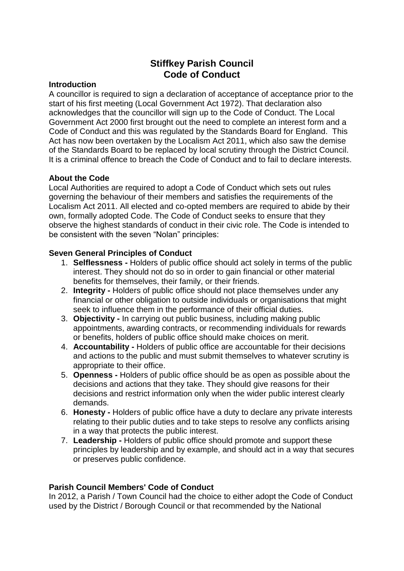# **Stiffkey Parish Council Code of Conduct**

### **Introduction**

A councillor is required to sign a declaration of acceptance of acceptance prior to the start of his first meeting (Local Government Act 1972). That declaration also acknowledges that the councillor will sign up to the Code of Conduct. The Local Government Act 2000 first brought out the need to complete an interest form and a Code of Conduct and this was regulated by the Standards Board for England. This Act has now been overtaken by the Localism Act 2011, which also saw the demise of the Standards Board to be replaced by local scrutiny through the District Council. It is a criminal offence to breach the Code of Conduct and to fail to declare interests.

### **About the Code**

Local Authorities are required to adopt a Code of Conduct which sets out rules governing the behaviour of their members and satisfies the requirements of the Localism Act 2011. All elected and co-opted members are required to abide by their own, formally adopted Code. The Code of Conduct seeks to ensure that they observe the highest standards of conduct in their civic role. The Code is intended to be consistent with the seven "Nolan" principles:

## **Seven General Principles of Conduct**

- 1. **Selflessness -** Holders of public office should act solely in terms of the public interest. They should not do so in order to gain financial or other material benefits for themselves, their family, or their friends.
- 2. **Integrity -** Holders of public office should not place themselves under any financial or other obligation to outside individuals or organisations that might seek to influence them in the performance of their official duties.
- 3. **Objectivity -** In carrying out public business, including making public appointments, awarding contracts, or recommending individuals for rewards or benefits, holders of public office should make choices on merit.
- 4. **Accountability -** Holders of public office are accountable for their decisions and actions to the public and must submit themselves to whatever scrutiny is appropriate to their office.
- 5. **Openness -** Holders of public office should be as open as possible about the decisions and actions that they take. They should give reasons for their decisions and restrict information only when the wider public interest clearly demands.
- 6. **Honesty -** Holders of public office have a duty to declare any private interests relating to their public duties and to take steps to resolve any conflicts arising in a way that protects the public interest.
- 7. **Leadership -** Holders of public office should promote and support these principles by leadership and by example, and should act in a way that secures or preserves public confidence.

# **Parish Council Members' Code of Conduct**

In 2012, a Parish / Town Council had the choice to either adopt the Code of Conduct used by the District / Borough Council or that recommended by the National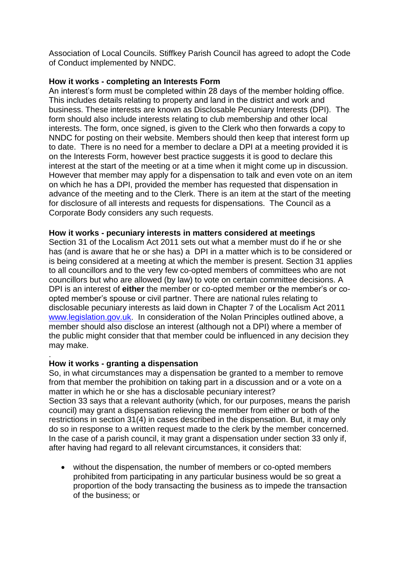Association of Local Councils. Stiffkey Parish Council has agreed to adopt the Code of Conduct implemented by NNDC.

### **How it works - completing an Interests Form**

An interest's form must be completed within 28 days of the member holding office. This includes details relating to property and land in the district and work and business. These interests are known as Disclosable Pecuniary Interests (DPI). The form should also include interests relating to club membership and other local interests. The form, once signed, is given to the Clerk who then forwards a copy to NNDC for posting on their website. Members should then keep that interest form up to date. There is no need for a member to declare a DPI at a meeting provided it is on the Interests Form, however best practice suggests it is good to declare this interest at the start of the meeting or at a time when it might come up in discussion. However that member may apply for a dispensation to talk and even vote on an item on which he has a DPI, provided the member has requested that dispensation in advance of the meeting and to the Clerk. There is an item at the start of the meeting for disclosure of all interests and requests for dispensations. The Council as a Corporate Body considers any such requests.

### **How it works - pecuniary interests in matters considered at meetings**

Section 31 of the Localism Act 2011 sets out what a member must do if he or she has (and is aware that he or she has) a DPI in a matter which is to be considered or is being considered at a meeting at which the member is present. Section 31 applies to all councillors and to the very few co-opted members of committees who are not councillors but who are allowed (by law) to vote on certain committee decisions. A DPI is an interest of **either** the member or co-opted member o**r** the member's or coopted member's spouse or civil partner. There are national rules relating to disclosable pecuniary interests as laid down in Chapter 7 of the Localism Act 2011 [www.legislation.gov.uk.](http://www.legislation.gov.uk/) In consideration of the Nolan Principles outlined above, a member should also disclose an interest (although not a DPI) where a member of the public might consider that that member could be influenced in any decision they may make.

### **How it works - granting a dispensation**

.

So, in what circumstances may a dispensation be granted to a member to remove from that member the prohibition on taking part in a discussion and or a vote on a matter in which he or she has a disclosable pecuniary interest? Section 33 says that a relevant authority (which, for our purposes, means the parish council) may grant a dispensation relieving the member from either or both of the restrictions in section 31(4) in cases described in the dispensation. But, it may only do so in response to a written request made to the clerk by the member concerned. In the case of a parish council, it may grant a dispensation under section 33 only if, after having had regard to all relevant circumstances, it considers that:

 without the dispensation, the number of members or co-opted members prohibited from participating in any particular business would be so great a proportion of the body transacting the business as to impede the transaction of the business; or